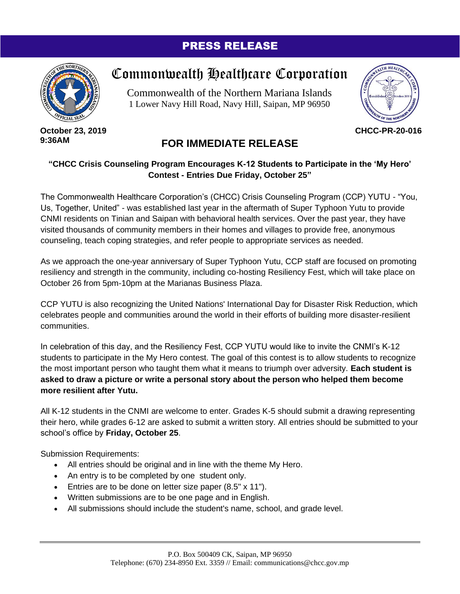## PRESS RELEASE



**October 23, 2019 9:36AM**

## Commonwealth Healthcare Corporation

Commonwealth of the Northern Mariana Islands 1 Lower Navy Hill Road, Navy Hill, Saipan, MP 96950



**CHCC-PR-20-016**

## **FOR IMMEDIATE RELEASE**

## **"CHCC Crisis Counseling Program Encourages K-12 Students to Participate in the 'My Hero' Contest - Entries Due Friday, October 25"**

The Commonwealth Healthcare Corporation's (CHCC) Crisis Counseling Program (CCP) YUTU - "You, Us, Together, United" - was established last year in the aftermath of Super Typhoon Yutu to provide CNMI residents on Tinian and Saipan with behavioral health services. Over the past year, they have visited thousands of community members in their homes and villages to provide free, anonymous counseling, teach coping strategies, and refer people to appropriate services as needed.

As we approach the one-year anniversary of Super Typhoon Yutu, CCP staff are focused on promoting resiliency and strength in the community, including co-hosting Resiliency Fest, which will take place on October 26 from 5pm-10pm at the Marianas Business Plaza.

CCP YUTU is also recognizing the United Nations' International Day for Disaster Risk Reduction, which celebrates people and communities around the world in their efforts of building more disaster-resilient communities.

In celebration of this day, and the Resiliency Fest, CCP YUTU would like to invite the CNMI's K-12 students to participate in the My Hero contest. The goal of this contest is to allow students to recognize the most important person who taught them what it means to triumph over adversity. **Each student is asked to draw a picture or write a personal story about the person who helped them become more resilient after Yutu.**

All K-12 students in the CNMI are welcome to enter. Grades K-5 should submit a drawing representing their hero, while grades 6-12 are asked to submit a written story. All entries should be submitted to your school's office by **Friday, October 25**.

Submission Requirements:

- All entries should be original and in line with the theme My Hero.
- An entry is to be completed by one student only.
- Entries are to be done on letter size paper (8.5" x 11").
- Written submissions are to be one page and in English.
- All submissions should include the student's name, school, and grade level.